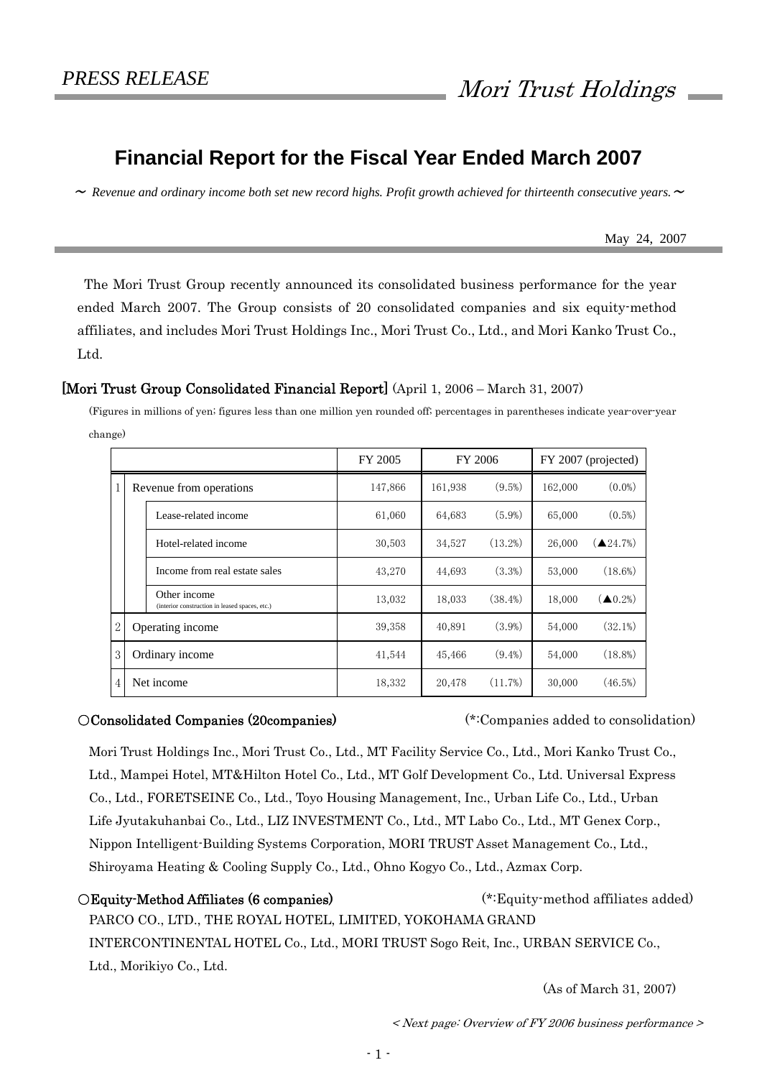# **Financial Report for the Fiscal Year Ended March 2007**

 $\sim$  Revenue and ordinary income both set new record highs. Profit growth achieved for thirteenth consecutive years.  $\sim$ 

May 24, 2007

 The Mori Trust Group recently announced its consolidated business performance for the year ended March 2007. The Group consists of 20 consolidated companies and six equity-method affiliates, and includes Mori Trust Holdings Inc., Mori Trust Co., Ltd., and Mori Kanko Trust Co., Ltd.

# [Mori Trust Group Consolidated Financial Report] (April 1, 2006 – March 31, 2007)

(Figures in millions of yen; figures less than one million yen rounded off; percentages in parentheses indicate year-over-year change)

|   |                         |                                                                | FY 2005 |         | FY 2006    |         | FY 2007 (projected)               |
|---|-------------------------|----------------------------------------------------------------|---------|---------|------------|---------|-----------------------------------|
| 1 | Revenue from operations |                                                                | 147,866 | 161,938 | $(9.5\%)$  | 162,000 | $(0.0\%)$                         |
|   |                         | Lease-related income                                           | 61,060  | 64,683  | (5.9%)     | 65,000  | $(0.5\%)$                         |
|   |                         | Hotel-related income                                           | 30,503  | 34,527  | (13.2%)    | 26,000  | $\left( \triangle 24.7\% \right)$ |
|   |                         | Income from real estate sales                                  | 43,270  | 44,693  | $(3.3\%)$  | 53,000  | (18.6%)                           |
|   |                         | Other income<br>(interior construction in leased spaces, etc.) | 13,032  | 18,033  | $(38.4\%)$ | 18,000  | $(\triangle 0.2\%)$               |
| 2 |                         | Operating income                                               | 39,358  | 40,891  | $(3.9\%)$  | 54,000  | (32.1%)                           |
| 3 |                         | Ordinary income                                                | 41,544  | 45,466  | $(9.4\%)$  | 54,000  | $(18.8\%)$                        |
| 4 |                         | Net income                                                     | 18,332  | 20,478  | (11.7%)    | 30,000  | (46.5%)                           |

# ○Consolidated Companies (20companies) (\*:Companies added to consolidation)

Mori Trust Holdings Inc., Mori Trust Co., Ltd., MT Facility Service Co., Ltd., Mori Kanko Trust Co., Ltd., Mampei Hotel, MT&Hilton Hotel Co., Ltd., MT Golf Development Co., Ltd. Universal Express Co., Ltd., FORETSEINE Co., Ltd., Toyo Housing Management, Inc., Urban Life Co., Ltd., Urban Life Jyutakuhanbai Co., Ltd., LIZ INVESTMENT Co., Ltd., MT Labo Co., Ltd., MT Genex Corp., Nippon Intelligent-Building Systems Corporation, MORI TRUST Asset Management Co., Ltd., Shiroyama Heating & Cooling Supply Co., Ltd., Ohno Kogyo Co., Ltd., Azmax Corp.

○Equity-Method Affiliates (6 companies) (\*:Equity-method affiliates added) PARCO CO., LTD., THE ROYAL HOTEL, LIMITED, YOKOHAMA GRAND INTERCONTINENTAL HOTEL Co., Ltd., MORI TRUST Sogo Reit, Inc., URBAN SERVICE Co., Ltd., Morikiyo Co., Ltd.

(As of March 31, 2007)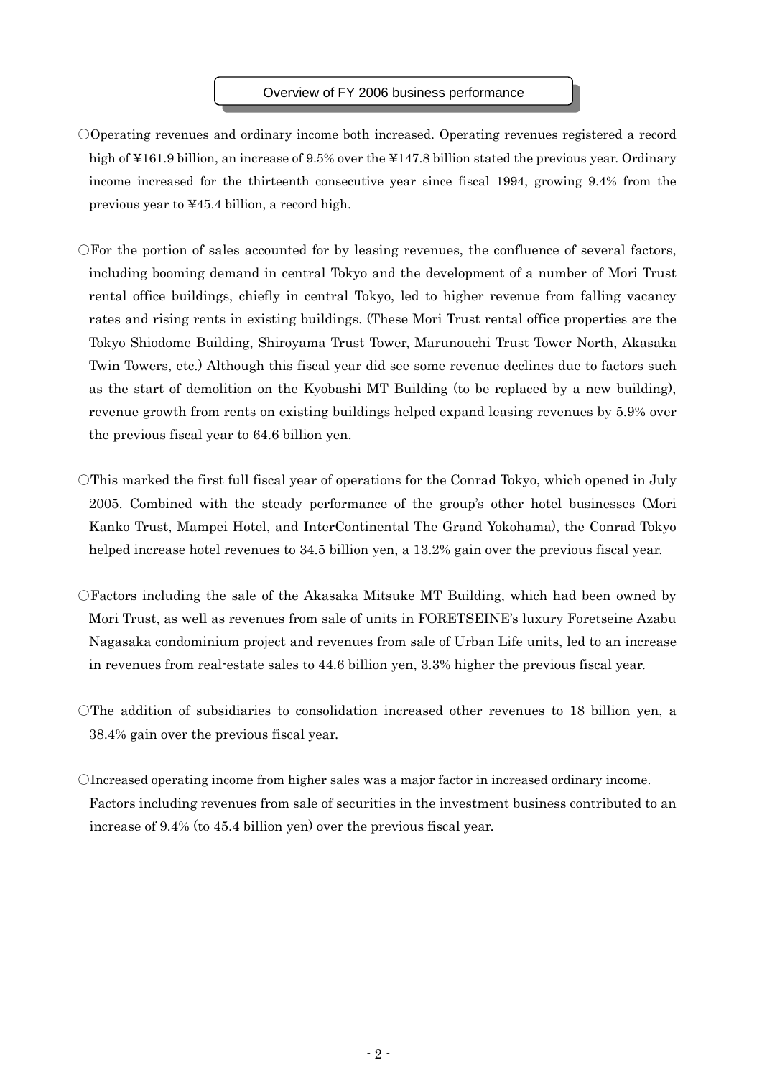## Overview of FY 2006 business performance

- ○Operating revenues and ordinary income both increased. Operating revenues registered a record high of ¥161.9 billion, an increase of 9.5% over the ¥147.8 billion stated the previous year. Ordinary income increased for the thirteenth consecutive year since fiscal 1994, growing 9.4% from the previous year to ¥45.4 billion, a record high.
- ○For the portion of sales accounted for by leasing revenues, the confluence of several factors, including booming demand in central Tokyo and the development of a number of Mori Trust rental office buildings, chiefly in central Tokyo, led to higher revenue from falling vacancy rates and rising rents in existing buildings. (These Mori Trust rental office properties are the Tokyo Shiodome Building, Shiroyama Trust Tower, Marunouchi Trust Tower North, Akasaka Twin Towers, etc.) Although this fiscal year did see some revenue declines due to factors such as the start of demolition on the Kyobashi MT Building (to be replaced by a new building), revenue growth from rents on existing buildings helped expand leasing revenues by 5.9% over the previous fiscal year to 64.6 billion yen.
- $\overline{O}$ This marked the first full fiscal year of operations for the Conrad Tokyo, which opened in July 2005. Combined with the steady performance of the group's other hotel businesses (Mori Kanko Trust, Mampei Hotel, and InterContinental The Grand Yokohama), the Conrad Tokyo helped increase hotel revenues to 34.5 billion yen, a 13.2% gain over the previous fiscal year.
- $\bigcirc$  Factors including the sale of the Akasaka Mitsuke MT Building, which had been owned by Mori Trust, as well as revenues from sale of units in FORETSEINE's luxury Foretseine Azabu Nagasaka condominium project and revenues from sale of Urban Life units, led to an increase in revenues from real-estate sales to 44.6 billion yen, 3.3% higher the previous fiscal year.
- $\Box$  The addition of subsidiaries to consolidation increased other revenues to 18 billion ven, a 38.4% gain over the previous fiscal year.
- ○Increased operating income from higher sales was a major factor in increased ordinary income. Factors including revenues from sale of securities in the investment business contributed to an increase of 9.4% (to 45.4 billion yen) over the previous fiscal year.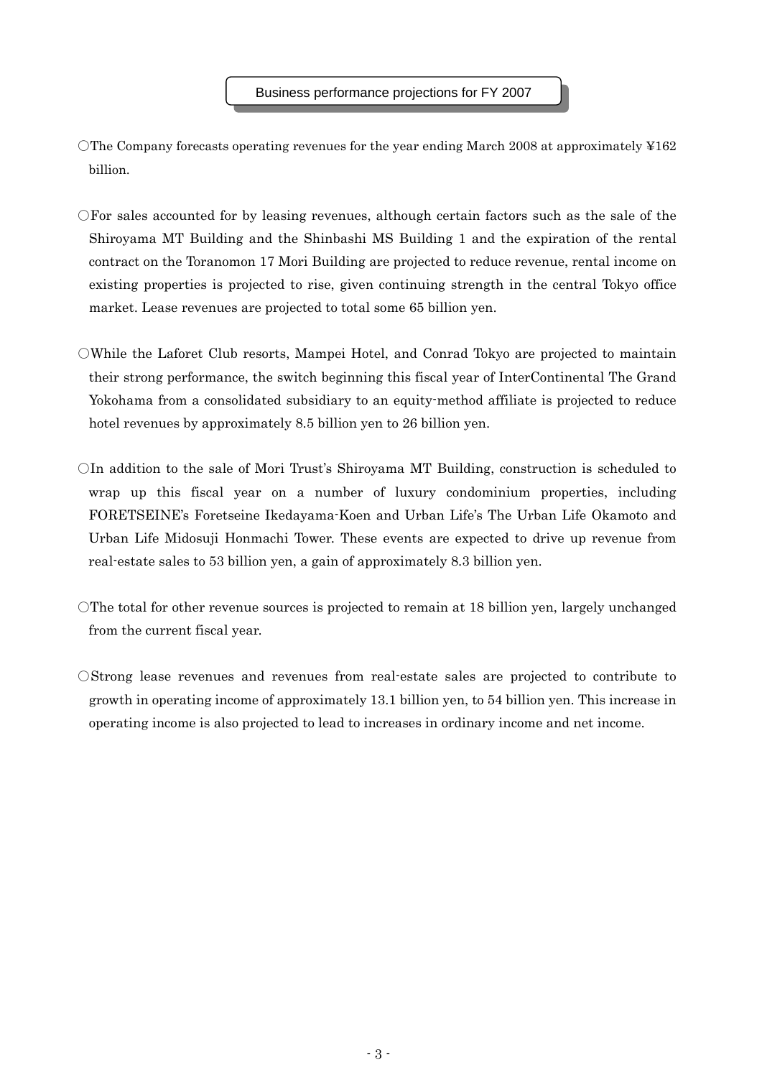- $\Box$  The Company forecasts operating revenues for the year ending March 2008 at approximately ¥162 billion.
- ○For sales accounted for by leasing revenues, although certain factors such as the sale of the Shiroyama MT Building and the Shinbashi MS Building 1 and the expiration of the rental contract on the Toranomon 17 Mori Building are projected to reduce revenue, rental income on existing properties is projected to rise, given continuing strength in the central Tokyo office market. Lease revenues are projected to total some 65 billion yen.
- ○While the Laforet Club resorts, Mampei Hotel, and Conrad Tokyo are projected to maintain their strong performance, the switch beginning this fiscal year of InterContinental The Grand Yokohama from a consolidated subsidiary to an equity-method affiliate is projected to reduce hotel revenues by approximately 8.5 billion yen to 26 billion yen.
- $\overline{O}$ In addition to the sale of Mori Trust's Shiroyama MT Building, construction is scheduled to wrap up this fiscal year on a number of luxury condominium properties, including FORETSEINE's Foretseine Ikedayama-Koen and Urban Life's The Urban Life Okamoto and Urban Life Midosuji Honmachi Tower. These events are expected to drive up revenue from real-estate sales to 53 billion yen, a gain of approximately 8.3 billion yen.
- ○The total for other revenue sources is projected to remain at 18 billion yen, largely unchanged from the current fiscal year.
- ○Strong lease revenues and revenues from real-estate sales are projected to contribute to growth in operating income of approximately 13.1 billion yen, to 54 billion yen. This increase in operating income is also projected to lead to increases in ordinary income and net income.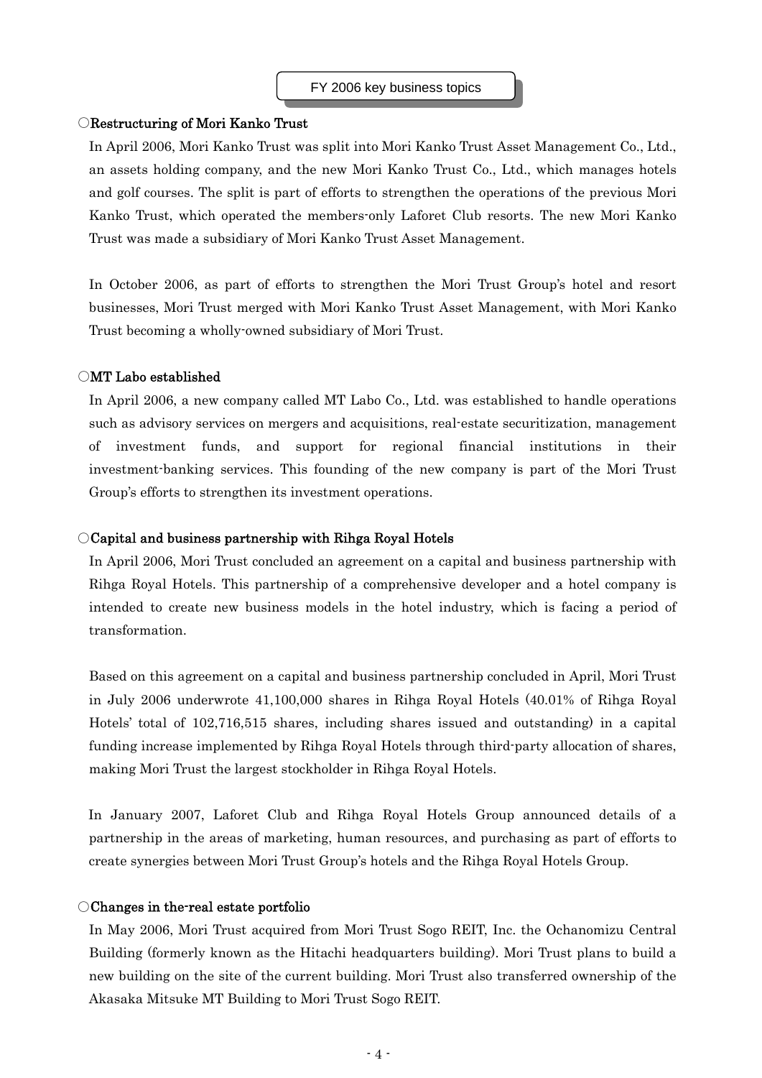## ○Restructuring of Mori Kanko Trust

In April 2006, Mori Kanko Trust was split into Mori Kanko Trust Asset Management Co., Ltd., an assets holding company, and the new Mori Kanko Trust Co., Ltd., which manages hotels and golf courses. The split is part of efforts to strengthen the operations of the previous Mori Kanko Trust, which operated the members-only Laforet Club resorts. The new Mori Kanko Trust was made a subsidiary of Mori Kanko Trust Asset Management.

In October 2006, as part of efforts to strengthen the Mori Trust Group's hotel and resort businesses, Mori Trust merged with Mori Kanko Trust Asset Management, with Mori Kanko Trust becoming a wholly-owned subsidiary of Mori Trust.

## ○MT Labo established

In April 2006, a new company called MT Labo Co., Ltd. was established to handle operations such as advisory services on mergers and acquisitions, real-estate securitization, management of investment funds, and support for regional financial institutions in their investment-banking services. This founding of the new company is part of the Mori Trust Group's efforts to strengthen its investment operations.

# ○Capital and business partnership with Rihga Royal Hotels

In April 2006, Mori Trust concluded an agreement on a capital and business partnership with Rihga Royal Hotels. This partnership of a comprehensive developer and a hotel company is intended to create new business models in the hotel industry, which is facing a period of transformation.

Based on this agreement on a capital and business partnership concluded in April, Mori Trust in July 2006 underwrote 41,100,000 shares in Rihga Royal Hotels (40.01% of Rihga Royal Hotels' total of 102,716,515 shares, including shares issued and outstanding) in a capital funding increase implemented by Rihga Royal Hotels through third-party allocation of shares, making Mori Trust the largest stockholder in Rihga Royal Hotels.

In January 2007, Laforet Club and Rihga Royal Hotels Group announced details of a partnership in the areas of marketing, human resources, and purchasing as part of efforts to create synergies between Mori Trust Group's hotels and the Rihga Royal Hotels Group.

### ○Changes in the-real estate portfolio

In May 2006, Mori Trust acquired from Mori Trust Sogo REIT, Inc. the Ochanomizu Central Building (formerly known as the Hitachi headquarters building). Mori Trust plans to build a new building on the site of the current building. Mori Trust also transferred ownership of the Akasaka Mitsuke MT Building to Mori Trust Sogo REIT.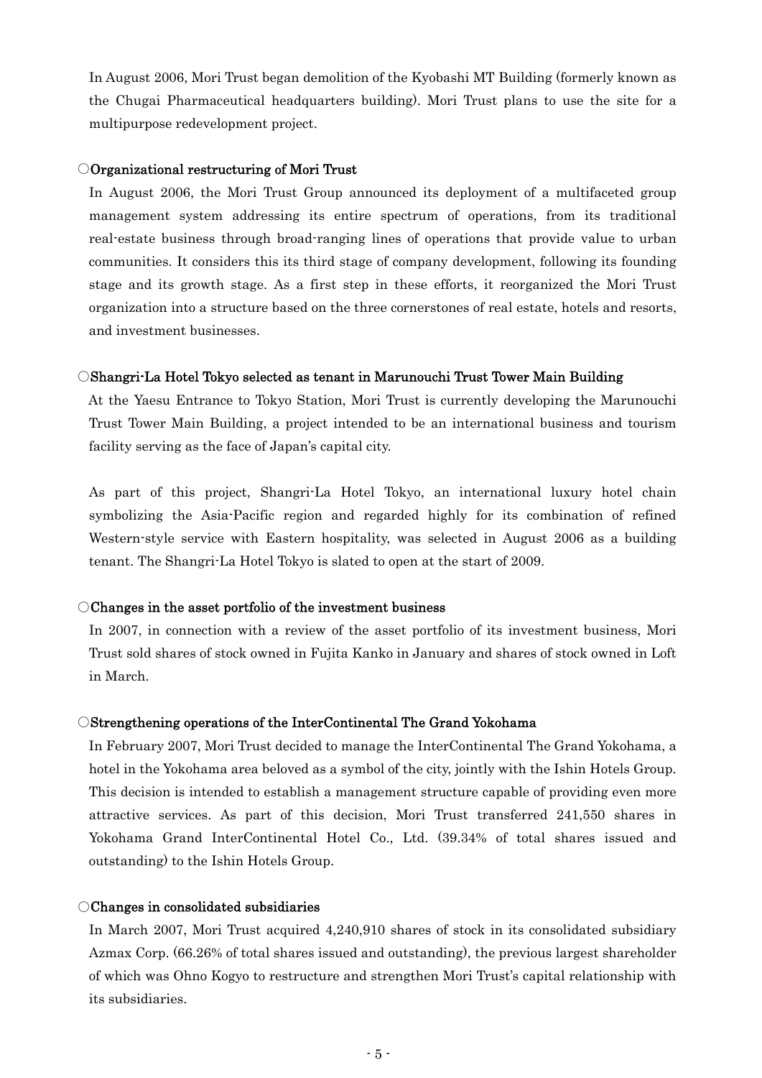In August 2006, Mori Trust began demolition of the Kyobashi MT Building (formerly known as the Chugai Pharmaceutical headquarters building). Mori Trust plans to use the site for a multipurpose redevelopment project.

## ○Organizational restructuring of Mori Trust

In August 2006, the Mori Trust Group announced its deployment of a multifaceted group management system addressing its entire spectrum of operations, from its traditional real-estate business through broad-ranging lines of operations that provide value to urban communities. It considers this its third stage of company development, following its founding stage and its growth stage. As a first step in these efforts, it reorganized the Mori Trust organization into a structure based on the three cornerstones of real estate, hotels and resorts, and investment businesses.

### ○Shangri-La Hotel Tokyo selected as tenant in Marunouchi Trust Tower Main Building

At the Yaesu Entrance to Tokyo Station, Mori Trust is currently developing the Marunouchi Trust Tower Main Building, a project intended to be an international business and tourism facility serving as the face of Japan's capital city.

As part of this project, Shangri-La Hotel Tokyo, an international luxury hotel chain symbolizing the Asia-Pacific region and regarded highly for its combination of refined Western-style service with Eastern hospitality, was selected in August 2006 as a building tenant. The Shangri-La Hotel Tokyo is slated to open at the start of 2009.

## ○Changes in the asset portfolio of the investment business

In 2007, in connection with a review of the asset portfolio of its investment business, Mori Trust sold shares of stock owned in Fujita Kanko in January and shares of stock owned in Loft in March.

# ○Strengthening operations of the InterContinental The Grand Yokohama

In February 2007, Mori Trust decided to manage the InterContinental The Grand Yokohama, a hotel in the Yokohama area beloved as a symbol of the city, jointly with the Ishin Hotels Group. This decision is intended to establish a management structure capable of providing even more attractive services. As part of this decision, Mori Trust transferred 241,550 shares in Yokohama Grand InterContinental Hotel Co., Ltd. (39.34% of total shares issued and outstanding) to the Ishin Hotels Group.

# ○Changes in consolidated subsidiaries

In March 2007, Mori Trust acquired 4,240,910 shares of stock in its consolidated subsidiary Azmax Corp. (66.26% of total shares issued and outstanding), the previous largest shareholder of which was Ohno Kogyo to restructure and strengthen Mori Trust's capital relationship with its subsidiaries.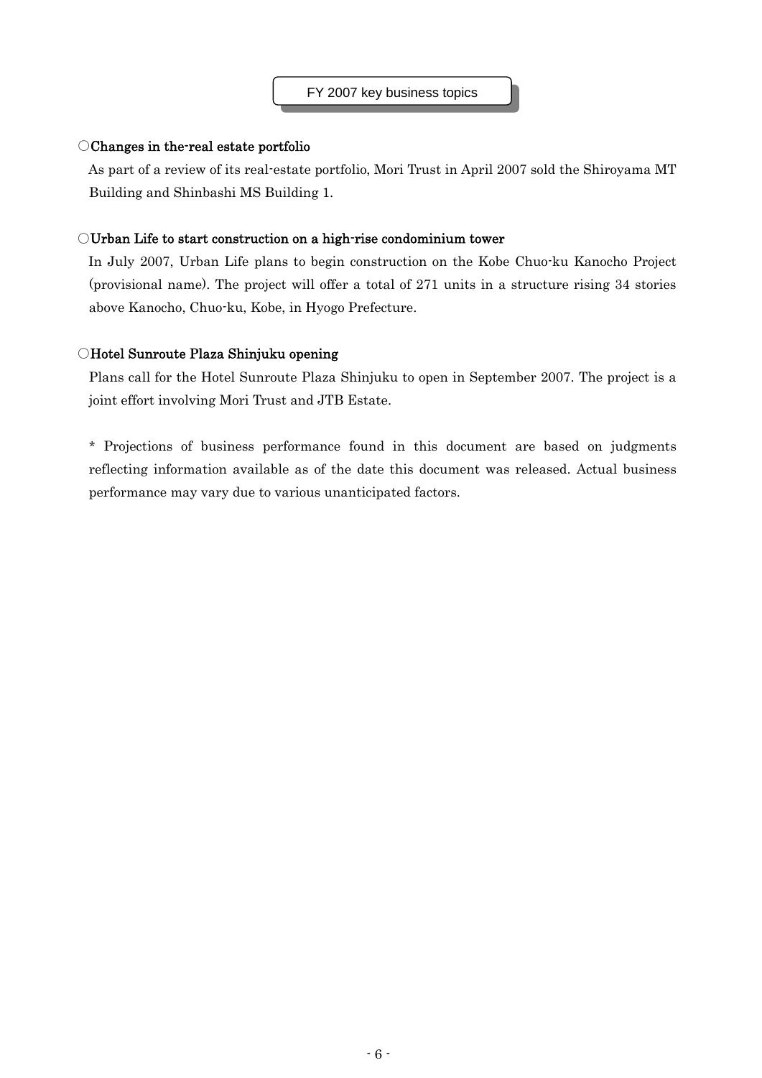# ○Changes in the-real estate portfolio

As part of a review of its real-estate portfolio, Mori Trust in April 2007 sold the Shiroyama MT Building and Shinbashi MS Building 1.

# ○Urban Life to start construction on a high-rise condominium tower

In July 2007, Urban Life plans to begin construction on the Kobe Chuo-ku Kanocho Project (provisional name). The project will offer a total of 271 units in a structure rising 34 stories above Kanocho, Chuo-ku, Kobe, in Hyogo Prefecture.

# ○Hotel Sunroute Plaza Shinjuku opening

Plans call for the Hotel Sunroute Plaza Shinjuku to open in September 2007. The project is a joint effort involving Mori Trust and JTB Estate.

\* Projections of business performance found in this document are based on judgments reflecting information available as of the date this document was released. Actual business performance may vary due to various unanticipated factors.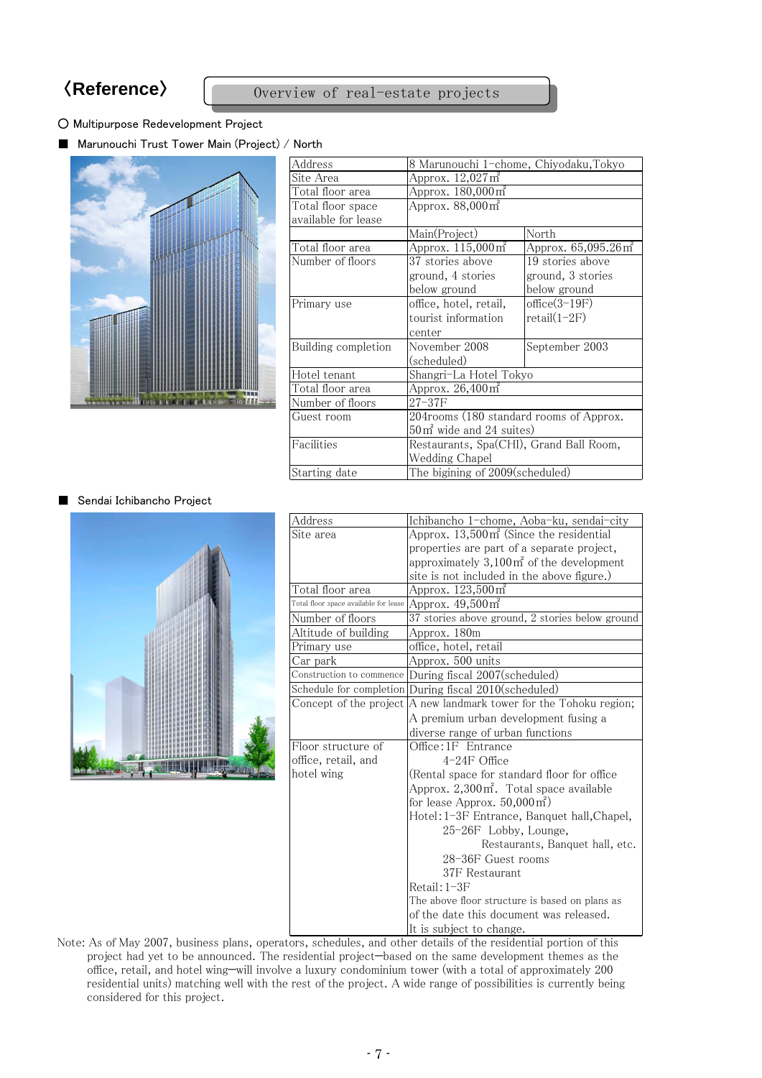# 〈**Reference**〉 Overview of real-estate projects

# ○ Multipurpose Redevelopment Project

■ Marunouchi Trust Tower Main (Project) / North



| Address             | 8 Marunouchi 1-chome, Chiyodaku,Tokyo    |                                 |  |
|---------------------|------------------------------------------|---------------------------------|--|
| Site Area           | Approx. $12,027 \text{ m}^2$             |                                 |  |
| Total floor area    | Approx. 180,000 m <sup>2</sup>           |                                 |  |
| Total floor space   | Approx. $88,000 \text{ m}^2$             |                                 |  |
| available for lease |                                          |                                 |  |
|                     | Main(Project)                            | North                           |  |
| Total floor area    | Approx. 115,000 m <sup>2</sup>           | Approx. 65,095.26m <sup>2</sup> |  |
| Number of floors    | 37 stories above                         | 19 stories above                |  |
|                     | ground, 4 stories                        | ground, 3 stories               |  |
|                     | below ground                             | below ground                    |  |
| Primary use         | office, hotel, retail,                   | $office(3-19F)$                 |  |
|                     | tourist information                      | $retail(1-2F)$                  |  |
|                     | center                                   |                                 |  |
| Building completion | November 2008                            | September 2003                  |  |
|                     | (scheduled)                              |                                 |  |
| Hotel tenant        | Shangri-La Hotel Tokyo                   |                                 |  |
| Total floor area    | Approx. 26,400 m <sup>2</sup>            |                                 |  |
| Number of floors    | $27 - 37F$                               |                                 |  |
| Guest room          | 204 rooms (180 standard rooms of Approx. |                                 |  |
|                     | 50 m <sup>2</sup> wide and 24 suites)    |                                 |  |
| Facilities          | Restaurants, Spa(CHI), Grand Ball Room,  |                                 |  |
|                     | Wedding Chapel                           |                                 |  |
| Starting date       | The bigining of 2009(scheduled)          |                                 |  |

# ■ Sendai Ichibancho Project



| Address                               | Ichibancho 1-chome, Aoba-ku, sendai-city               |
|---------------------------------------|--------------------------------------------------------|
| Site area                             | Approx. $13,500 \text{ m}^2$ (Since the residential    |
|                                       | properties are part of a separate project,             |
|                                       | approximately $3,100 \text{ m}^2$ of the development   |
|                                       |                                                        |
|                                       | site is not included in the above figure.)             |
| Total floor area                      | Approx. 123,500 m <sup>2</sup>                         |
| Total floor space available for lease | Approx. 49,500 m <sup>2</sup>                          |
| Number of floors                      | 37 stories above ground, 2 stories below ground        |
| Altitude of building                  | Approx. 180m                                           |
| Primary use                           | office, hotel, retail                                  |
| Car park                              | Approx. 500 units                                      |
|                                       | Construction to commence During fiscal 2007(scheduled) |
|                                       | Schedule for completion During fiscal 2010(scheduled)  |
| Concept of the project                | A new landmark tower for the Tohoku region;            |
|                                       | A premium urban development fusing a                   |
|                                       | diverse range of urban functions                       |
| Floor structure of                    | Office:1F Entrance                                     |
| office, retail, and                   | $4-24F$ Office                                         |
| hotel wing                            | (Rental space for standard floor for office            |
|                                       | Approx. 2,300m <sup>2</sup> . Total space available    |
|                                       | for lease Approx. $50,000 \text{ m}^2$ )               |
|                                       | Hotel: 1-3F Entrance, Banquet hall, Chapel,            |
|                                       | 25-26F Lobby, Lounge,                                  |
|                                       | Restaurants, Banquet hall, etc.                        |
|                                       | 28-36F Guest rooms                                     |
|                                       | 37F Restaurant                                         |
|                                       | Retail: 1-3F                                           |
|                                       | The above floor structure is based on plans as         |
|                                       | of the date this document was released.                |
|                                       | It is subject to change.                               |

Note: As of May 2007, business plans, operators, schedules, and other details of the residential portion of this project had yet to be announced. The residential project—based on the same development themes as the office, retail, and hotel wing—will involve a luxury condominium tower (with a total of approximately 200 residential units) matching well with the rest of the project. A wide range of possibilities is currently being considered for this project.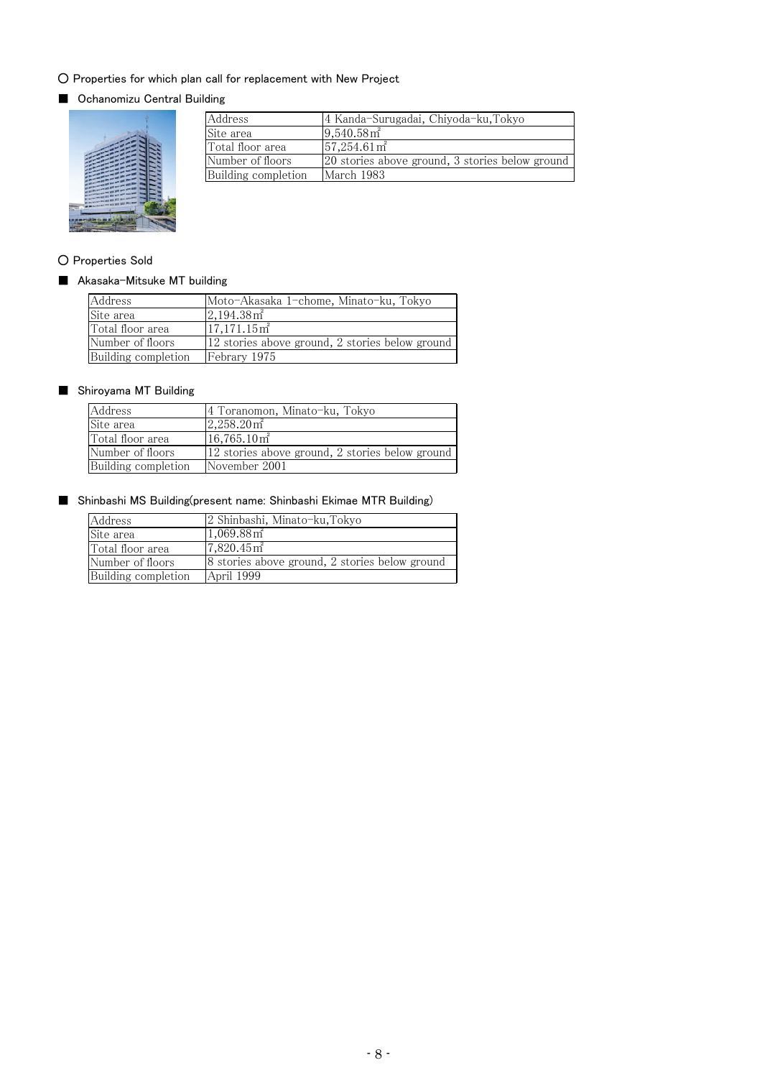# ○ Properties for which plan call for replacement with New Project

# ■ Ochanomizu Central Building



| Address             | 4 Kanda-Surugadai, Chiyoda-ku, Tokyo            |
|---------------------|-------------------------------------------------|
| Site area           | $9,540.58$ m <sup>2</sup>                       |
| Total floor area    | $57,254.61 \,\mathrm{m}^2$                      |
| Number of floors    | 20 stories above ground, 3 stories below ground |
| Building completion | March 1983                                      |

# ○ Properties Sold

# ■ Akasaka-Mitsuke MT building

| Address             | Moto-Akasaka 1-chome, Minato-ku, Tokyo          |
|---------------------|-------------------------------------------------|
| Site area           | $2,194.38$ m <sup>2</sup>                       |
| Total floor area    | $17,171.15$ m <sup>2</sup>                      |
| Number of floors    | 12 stories above ground, 2 stories below ground |
| Building completion | Febrary 1975                                    |

# ■ Shiroyama MT Building

| Address             | 4 Toranomon, Minato-ku, Tokyo                   |
|---------------------|-------------------------------------------------|
| Site area           | $2,258.20$ m <sup>2</sup>                       |
| Total floor area    | $16,765.10$ m <sup>2</sup>                      |
| Number of floors    | 12 stories above ground, 2 stories below ground |
| Building completion | November 2001                                   |

# ■ Shinbashi MS Building(present name: Shinbashi Ekimae MTR Building)

| Address             | 2 Shinbashi, Minato-ku, Tokyo                  |
|---------------------|------------------------------------------------|
| Site area           | $1,069.88 \,\mathrm{m}^2$                      |
| Total floor area    | $7,820.45$ m <sup>2</sup>                      |
| Number of floors    | 8 stories above ground, 2 stories below ground |
| Building completion | April 1999                                     |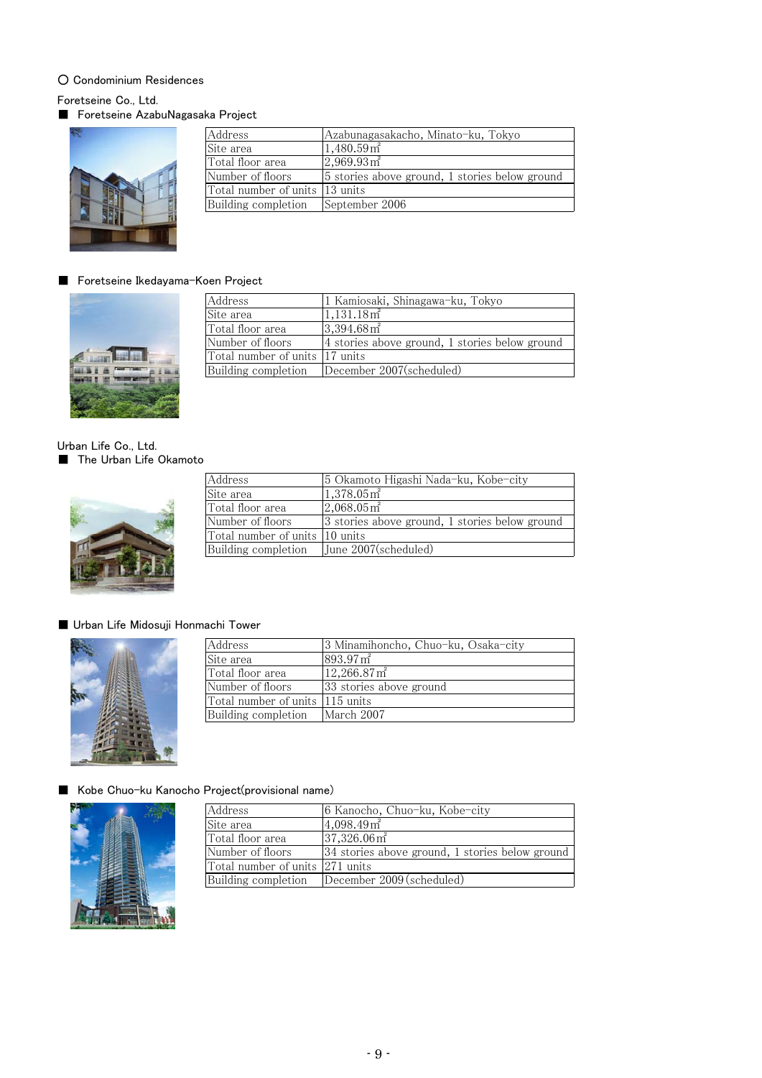# ○ Condominium Residences

Foretseine Co., Ltd.

■ Foretseine AzabuNagasaka Project



| Address                         | Azabunagasakacho, Minato-ku, Tokyo             |
|---------------------------------|------------------------------------------------|
| Site area                       | $1,480.59$ m <sup>2</sup>                      |
| Total floor area                | $2,969.93 \text{ m}^2$                         |
| Number of floors                | 5 stories above ground, 1 stories below ground |
| Total number of units  13 units |                                                |
| Building completion             | September 2006                                 |

# ■ Foretseine Ikedayama-Koen Project



| Address                         | 1 Kamiosaki, Shinagawa-ku, Tokyo               |
|---------------------------------|------------------------------------------------|
| Site area                       | $1,131.18$ m <sup>2</sup>                      |
| Total floor area                | $3,394.68$ m <sup>2</sup>                      |
| Number of floors                | 4 stories above ground, 1 stories below ground |
| Total number of units 117 units |                                                |
| Building completion             | December 2007(scheduled)                       |

Urban Life Co., Ltd. ■ The Urban Life Okamoto



| Address                         | 5 Okamoto Higashi Nada-ku, Kobe-city           |
|---------------------------------|------------------------------------------------|
| Site area                       | $1,378.05$ m <sup>2</sup>                      |
| Total floor area                | $2,068.05$ m <sup>2</sup>                      |
| Number of floors                | 3 stories above ground, 1 stories below ground |
| Total number of units 110 units |                                                |
| Building completion             | June 2007(scheduled)                           |

# ■ Urban Life Midosuji Honmachi Tower



| Address                          | 3 Minamihoncho, Chuo-ku, Osaka-city |
|----------------------------------|-------------------------------------|
| Site area                        | $893.97 \,\mathrm{m}^2$             |
| Total floor area                 | $12,266.87 \,\mathrm{m}^2$          |
| Number of floors                 | 33 stories above ground             |
| Total number of units 1115 units |                                     |
| Building completion              | March 2007                          |

# ■ Kobe Chuo-ku Kanocho Project(provisional name)



| Address                         | 6 Kanocho, Chuo-ku, Kobe-city                   |
|---------------------------------|-------------------------------------------------|
| Site area                       | $4,098.49$ m <sup>2</sup>                       |
| Total floor area                | $37,326.06$ m <sup>2</sup>                      |
| Number of floors                | 34 stories above ground, 1 stories below ground |
| Total number of units 271 units |                                                 |
| Building completion             | December 2009 (scheduled)                       |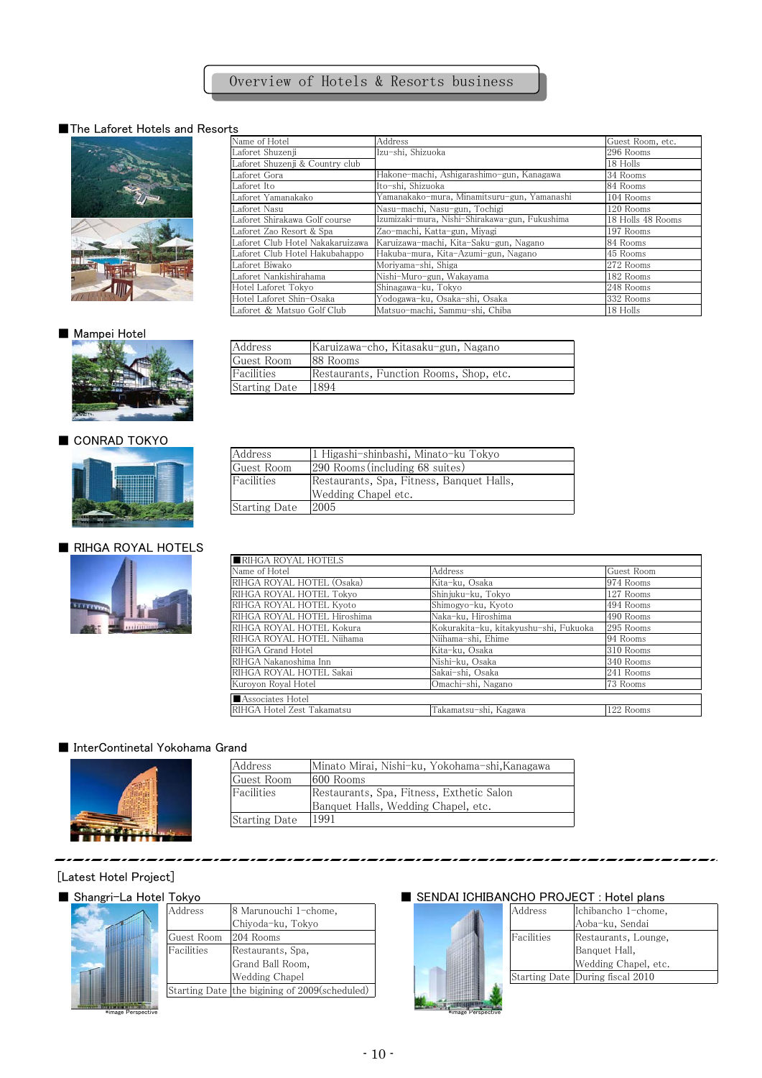# ■The Laforet Hotels and Resorts



| Name of Hotel                    | Address                                        | Guest Room, etc.  |
|----------------------------------|------------------------------------------------|-------------------|
| Laforet Shuzenii                 | Izu-shi, Shizuoka                              | 296 Rooms         |
| Laforet Shuzenji & Country club  |                                                | 18 Holls          |
| Laforet Gora                     | Hakone-machi, Ashigarashimo-gun, Kanagawa      | 34 Rooms          |
| Laforet Ito                      | Ito-shi, Shizuoka                              | 84 Rooms          |
| Laforet Yamanakako               | Yamanakako-mura, Minamitsuru-gun, Yamanashi    | 104 Rooms         |
| Laforet Nasu                     | Nasu-machi, Nasu-gun, Tochigi                  | 120 Rooms         |
| Laforet Shirakawa Golf course    | Izumizaki-mura, Nishi-Shirakawa-gun, Fukushima | 18 Holls 48 Rooms |
| Laforet Zao Resort & Spa         | Zao-machi, Katta-gun, Miyagi                   | 197 Rooms         |
| Laforet Club Hotel Nakakaruizawa | Karuizawa-machi, Kita-Saku-gun, Nagano         | 84 Rooms          |
| Laforet Club Hotel Hakubahappo   | Hakuba-mura, Kita-Azumi-gun, Nagano            | 45 Rooms          |
| Laforet Biwako                   | Moriyama-shi, Shiga                            | 272 Rooms         |
| Laforet Nankishirahama           | Nishi-Muro-gun, Wakayama                       | 182 Rooms         |
| Hotel Laforet Tokyo              | Shinagawa-ku, Tokyo                            | 248 Rooms         |
| Hotel Laforet Shin-Osaka         | Yodogawa-ku, Osaka-shi, Osaka                  | 332 Rooms         |
| Laforet & Matsuo Golf Club       | Matsuo-machi, Sammu-shi, Chiba                 | 18 Holls          |

# ■ Mampei Hotel



# ■ CONRAD TOKYO



# ■ RIHGA ROYAL HOTELS



| Address              | Karuizawa-cho, Kitasaku-gun, Nagano     |
|----------------------|-----------------------------------------|
| Guest Room           | 188 Rooms                               |
| <b>Facilities</b>    | Restaurants, Function Rooms, Shop, etc. |
| <b>Starting Date</b> | <sup>1894</sup>                         |
|                      |                                         |

| Address              | 1 Higashi-shinbashi, Minato-ku Tokyo      |
|----------------------|-------------------------------------------|
| Guest Room           | [290 Rooms (including 68 suites)          |
| Facilities           | Restaurants, Spa, Fitness, Banquet Halls, |
|                      | Wedding Chapel etc.                       |
| <b>Starting Date</b> | 2005                                      |
|                      |                                           |

| RIHGA ROYAL HOTELS          |                                        |            |
|-----------------------------|----------------------------------------|------------|
| Name of Hotel               | Address                                | Guest Room |
| RIHGA ROYAL HOTEL (Osaka)   | Kita-ku, Osaka                         | 974 Rooms  |
| RIHGA ROYAL HOTEL Tokyo     | Shinjuku-ku, Tokyo                     | 127 Rooms  |
| RIHGA ROYAL HOTEL Kyoto     | Shimogyo-ku, Kyoto                     | 494 Rooms  |
| RIHGA ROYAL HOTEL Hiroshima | Naka-ku, Hiroshima                     | 490 Rooms  |
| RIHGA ROYAL HOTEL Kokura    | Kokurakita-ku, kitakyushu-shi, Fukuoka | 295 Rooms  |
| RIHGA ROYAL HOTEL Niihama   | Niihama-shi, Ehime                     | 94 Rooms   |
| RIHGA Grand Hotel           | Kita-ku, Osaka                         | 310 Rooms  |
| RIHGA Nakanoshima Inn       | Nishi-ku, Osaka                        | 340 Rooms  |
| RIHGA ROYAL HOTEL Sakai     | Sakai-shi, Osaka                       | 241 Rooms  |
| Kuroyon Royal Hotel         | Omachi-shi, Nagano                     | 73 Rooms   |
| Associates Hotel            |                                        |            |
| RIHGA Hotel Zest Takamatsu  | Takamatsu-shi, Kagawa                  | 122 Rooms  |

### ■ InterContinetal Yokohama Grand



| <b>Address</b>       | Minato Mirai, Nishi-ku, Yokohama-shi,Kanagawa |
|----------------------|-----------------------------------------------|
| Guest Room           | 1600 Rooms                                    |
| Facilities           | Restaurants, Spa, Fitness, Exthetic Salon     |
|                      | Banquet Halls, Wedding Chapel, etc.           |
| <b>Starting Date</b> | 1991                                          |

## . . . . . . [Latest Hotel Project]



| <b>TOKVO</b> |                                               |  |            | SENDAI IUMIBANUMU PROJEUT : MOTEL DIANS |
|--------------|-----------------------------------------------|--|------------|-----------------------------------------|
| Address      | 8 Marunouchi 1-chome,                         |  | Address    | Ichibancho 1-chome,                     |
|              | Chiyoda-ku, Tokyo                             |  |            | Aoba-ku, Sendai                         |
| Guest Room   | 204 Rooms                                     |  | Facilities | Restaurants, Lounge,                    |
| Facilities   | Restaurants, Spa,                             |  |            | Banquet Hall,                           |
|              | Grand Ball Room,                              |  |            | Wedding Chapel, etc.                    |
|              | Wedding Chapel                                |  |            | Starting Date During fiscal 2010        |
|              | Starting Date the bigining of 2009(scheduled) |  |            |                                         |
|              |                                               |  |            |                                         |

# ■ Shangri-La Hotel Tokyo ■ SENDAI ICHIBANCHO PROJECT : Hotel plans

. *. . . . . . . . . .* . .

| 8 Marunouchi 1-chome,           |  | Address    | Ichibancho 1-chome,              |
|---------------------------------|--|------------|----------------------------------|
| Chiyoda-ku, Tokyo               |  |            | Aoba-ku, Sendai                  |
| 204 Rooms                       |  | Facilities | Restaurants, Lounge,             |
| Restaurants, Spa,               |  |            | Banquet Hall,                    |
| Grand Ball Room,                |  |            | Wedding Chapel, etc.             |
| Wedding Chapel                  |  |            | Starting Date During fiscal 2010 |
| the bigining of 2009(scheduled) |  |            |                                  |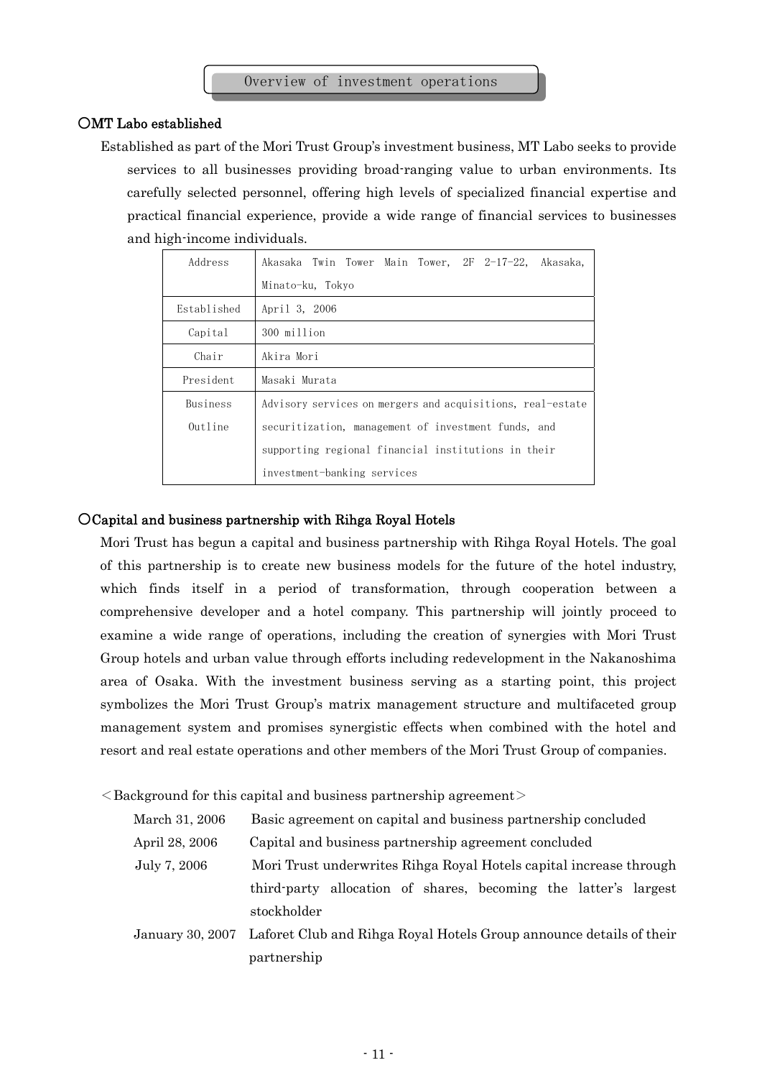# ○MT Labo established

Established as part of the Mori Trust Group's investment business, MT Labo seeks to provide services to all businesses providing broad-ranging value to urban environments. Its carefully selected personnel, offering high levels of specialized financial expertise and practical financial experience, provide a wide range of financial services to businesses and high-income individuals.

| Address     | Akasaka Twin Tower Main Tower, 2F 2-17-22, Akasaka,        |
|-------------|------------------------------------------------------------|
|             | Minato-ku, Tokyo                                           |
| Established | April 3, 2006                                              |
| Capital     | 300 million                                                |
| Chair       | Akira Mori                                                 |
| President   | Masaki Murata                                              |
| Business    | Advisory services on mergers and acquisitions, real-estate |
| $0$ utline  | securitization, management of investment funds, and        |
|             | supporting regional financial institutions in their        |
|             | investment-banking services                                |

# ○Capital and business partnership with Rihga Royal Hotels

Mori Trust has begun a capital and business partnership with Rihga Royal Hotels. The goal of this partnership is to create new business models for the future of the hotel industry, which finds itself in a period of transformation, through cooperation between a comprehensive developer and a hotel company. This partnership will jointly proceed to examine a wide range of operations, including the creation of synergies with Mori Trust Group hotels and urban value through efforts including redevelopment in the Nakanoshima area of Osaka. With the investment business serving as a starting point, this project symbolizes the Mori Trust Group's matrix management structure and multifaceted group management system and promises synergistic effects when combined with the hotel and resort and real estate operations and other members of the Mori Trust Group of companies.

 $\leq$ Background for this capital and business partnership agreement $\geq$ 

| March 31, 2006 | Basic agreement on capital and business partnership concluded                        |  |  |
|----------------|--------------------------------------------------------------------------------------|--|--|
| April 28, 2006 | Capital and business partnership agreement concluded                                 |  |  |
| July 7, 2006   | Mori Trust underwrites Rihga Royal Hotels capital increase through                   |  |  |
|                | third party allocation of shares, becoming the latter's largest                      |  |  |
|                | stockholder                                                                          |  |  |
|                | January 30, 2007 Laforet Club and Rihga Royal Hotels Group announce details of their |  |  |

partnership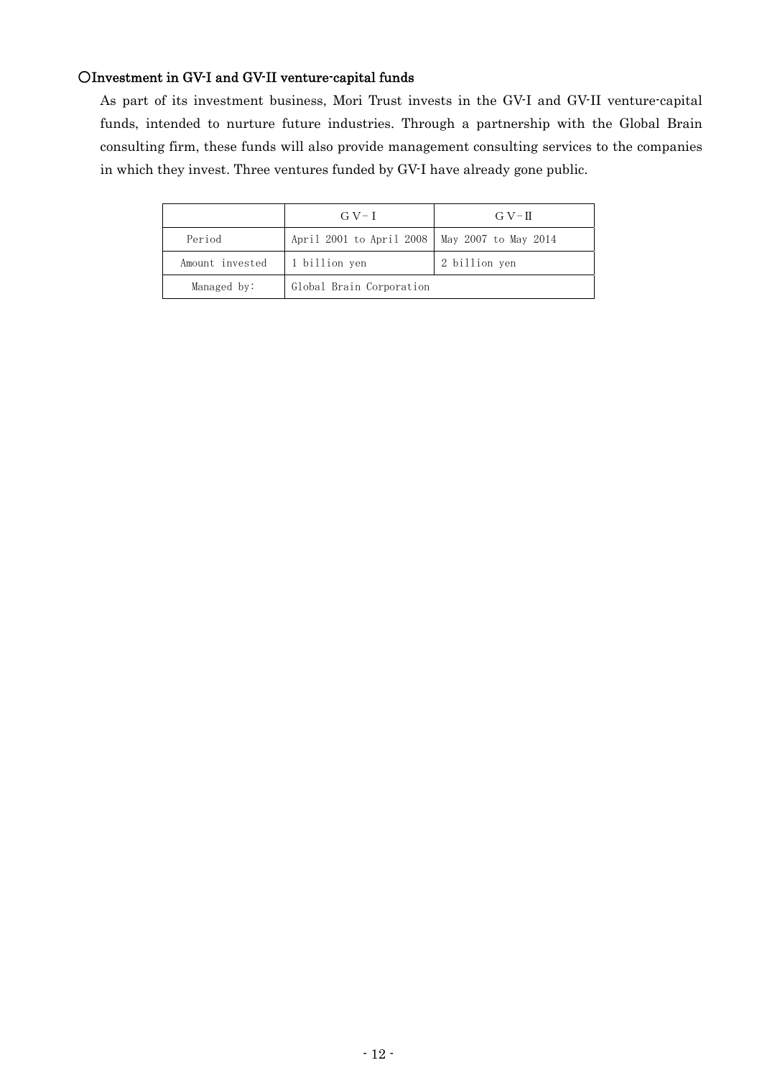# ○Investment in GV-I and GV-II venture-capital funds

As part of its investment business, Mori Trust invests in the GV-I and GV-II venture-capital funds, intended to nurture future industries. Through a partnership with the Global Brain consulting firm, these funds will also provide management consulting services to the companies in which they invest. Three ventures funded by GV-I have already gone public.

|                                  | $GV-I$                                          | $G V-T$       |
|----------------------------------|-------------------------------------------------|---------------|
| Period                           | April 2001 to April 2008   May 2007 to May 2014 |               |
| Amount invested<br>1 billion yen |                                                 | 2 billion yen |
| Managed by:                      | Global Brain Corporation                        |               |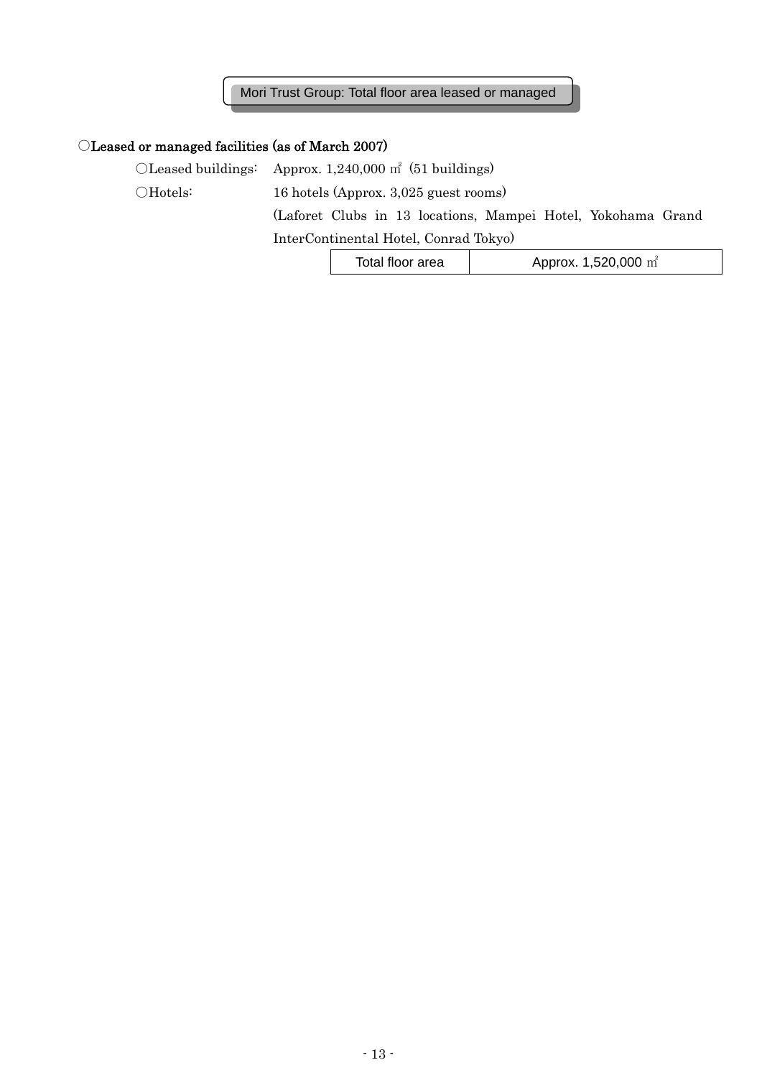Mori Trust Group: Total floor area leased or managed

# ○Leased or managed facilities (as of March 2007)

○Leased buildings: Approx. 1,240,000 ㎡ (51 buildings)

○Hotels: 16 hotels (Approx. 3,025 guest rooms)

(Laforet Clubs in 13 locations, Mampei Hotel, Yokohama Grand

InterContinental Hotel, Conrad Tokyo)

| Total floor area | Approx. 1,520,000 $m^2$ |
|------------------|-------------------------|
|------------------|-------------------------|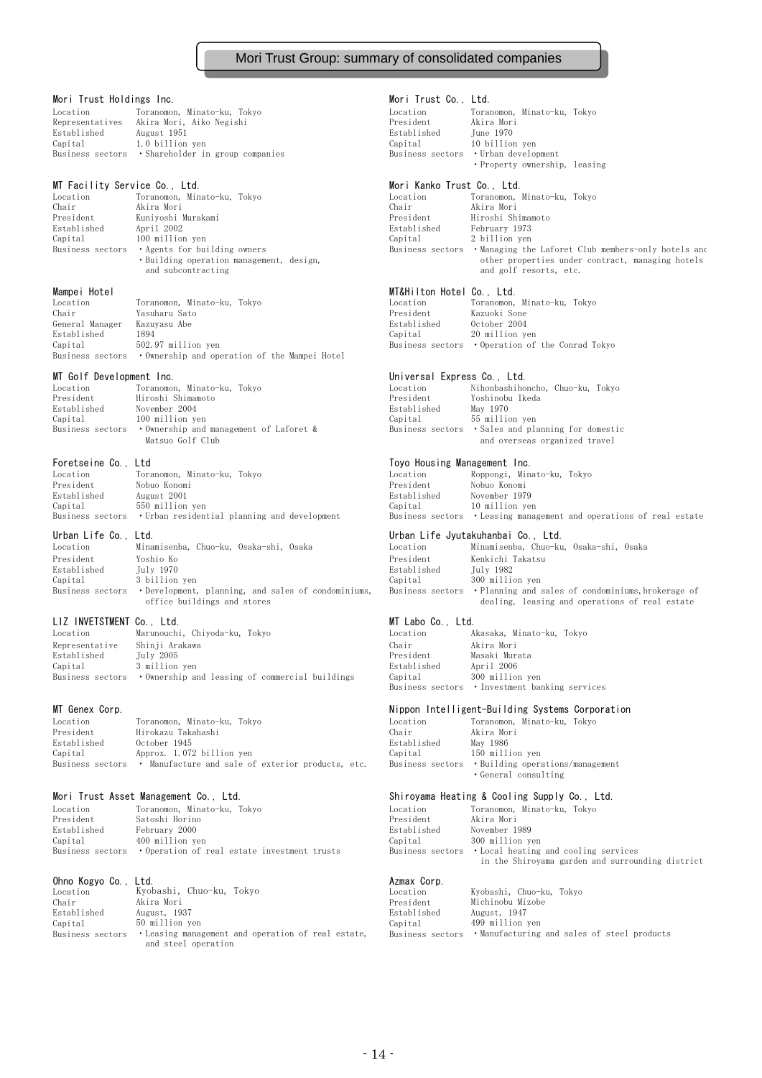### Mori Trust Group: summary of consolidated companies

### Mori Trust Holdings Inc. **Mori Trust Co., Ltd.**

| Location    | Toranomon, Minato-ku, Tokyo                       | Location    | Toranomon, Minato-ku, Tokyc          |
|-------------|---------------------------------------------------|-------------|--------------------------------------|
|             | Representatives Akira Mori, Aiko Negishi          | President   | Akira Mori                           |
| Established | August 1951                                       | Established | June 1970                            |
| Capital     | 1.0 billion yen                                   | Capital     | 10 billion ven                       |
|             | Business sectors • Shareholder in group companies |             | Business sectors • Urban development |
|             |                                                   |             |                                      |

MT Facility Service Co., Ltd. Mori Kanko Trust Co., Ltd. Location Toranomon, Minato-ku, Tokyo Location Toranomon, Minato-ku, Tokyo Chair Akira Mori Chair Akira Mori President Kuniyoshi Murakami President Hiroshi Shimamoto Established April 2002 Established February 1973 Capital 100 million yen Capital 2 billion yen and subcontracting and golf resorts, etc.

| Location        | Toranomon, Minato-ku, Tokvo                                    | Location    | Toranomon, Minato-ku, Tokvo                      |
|-----------------|----------------------------------------------------------------|-------------|--------------------------------------------------|
| Chair           | Yasuharu Sato                                                  | President   | Kazuoki Sone                                     |
| General Manager | Kazuvasu Abe                                                   | Established | October 2004                                     |
| Established     | 1894                                                           | Capital     | 20 million ven                                   |
| Capital         | 502.97 million ven                                             |             | Business sectors • Operation of the Conrad Tokyo |
|                 | Business sectors • Ownership and operation of the Mampei Hotel |             |                                                  |

MT Golf Development Inc. Universal Express Co., Ltd. Location Toranomon, Minato-ku, Tokyo<br>President Hiroshi Shimamoto Hiroshi Shimamoto Established November 2004 Capital 100 million yen Business sectors • Ownership and management of Laforet & B Matsuo Golf Club

| Location    | Toranomon, Minato-ku, Tokvo                                    | Location    | Roppongi, Minato-ku, Tokyo                                          |
|-------------|----------------------------------------------------------------|-------------|---------------------------------------------------------------------|
| President   | Nobuo Konomi                                                   | President   | Nobuo Konomi                                                        |
| Established | August 2001                                                    | Established | November 1979                                                       |
| Capital     | 550 million ven                                                | Capital     | 10 million ven                                                      |
|             | Business sectors  • Urban residential planning and development |             | Business sectors • Leasing management and operations of real estate |

Location Minamisenba, Chuo-ku, Osaka-shi, Osaka Location Minamisenba, Chuo-ku, Osaka-shi, Osaka President Yoshio Ko President Kenkichi Takatsu Established July 1970 Established July 1982 Capital 3 billion yen

### LIZ INVETSTMENT Co., Ltd. and the control of the MT Labo Co., Ltd.

| Location         | Marunouchi, Chiyoda-ku, Tokyo                   | Location    | Akasaka, Minato-ku, Tokvo |
|------------------|-------------------------------------------------|-------------|---------------------------|
| Representative   | Shinji Arakawa                                  | Chair       | Akira Mori                |
| Established      | July 2005                                       | President   | Masaki Murata             |
| Capital          | 3 million ven                                   | Established | April 2006                |
| Business sectors | • Ownership and leasing of commercial buildings | Capital     | 300 million ven           |

| Location    | Toranomon, Minato-ku, Tokvo                                        | Location    | Toranomon, Minato-ku, Tokvo                       |
|-------------|--------------------------------------------------------------------|-------------|---------------------------------------------------|
| President   | Hirokazu Takahashi                                                 | Chair       | Akira Mori                                        |
| Established | October 1945                                                       | Established | May 1986                                          |
| Capital     | Approx. 1.072 billion ven                                          | Capital     | 150 million ven                                   |
|             | Business sectors • Manufacture and sale of exterior products, etc. |             | Business sectors • Building operations/management |

| Location         | Toranomon, Minato-ku, Tokyo                  | Location    | Toranomon, Minato-ku, Tokvo                           |
|------------------|----------------------------------------------|-------------|-------------------------------------------------------|
| President        | Satoshi Horino                               | President   | Akira Mori                                            |
| Established      | February 2000                                | Established | November 1989                                         |
| Capital          | 400 million ven                              | Capital     | 300 million ven                                       |
| Business sectors | • Operation of real estate investment trusts |             | Business sectors • Local heating and cooling services |

| Ohno Kogyo Co.,  | Ltd.                                               | Azmax Corp. |                                                             |
|------------------|----------------------------------------------------|-------------|-------------------------------------------------------------|
| Location         | Kyobashi, Chuo-ku, Tokyo                           | Location    | Kyobashi, Chuo-ku, Tokyo                                    |
| Chair            | Akira Mori                                         | President   | Michinobu Mizobe                                            |
| Established      | August, 1937                                       | Established | August, 1947                                                |
| Capital          | 50 million ven                                     | Capital     | 499 million ven                                             |
| Business sectors | • Leasing management and operation of real estate, |             | Business sectors .Manufacturing and sales of steel products |
|                  | and steel operation                                |             |                                                             |

| ocation         | Toranomon, Minato-ku, Tokyo |                               |  |
|-----------------|-----------------------------|-------------------------------|--|
| resident        | Akira Mori                  |                               |  |
| stablished      | June 1970                   |                               |  |
| apital          | 10 billion ven              |                               |  |
| usiness sectors | • Urban development         |                               |  |
|                 |                             | • Property ownership, leasing |  |
|                 |                             |                               |  |

Business sectors • Buillion yen<br>• Agents for building owners • Business sectors • Managing the Laforet Club members-only hotels and<br>• Building operation management, design, the properties under contract, managing hotels • other properties under contract, managing hotels

# Mampei Hotel<br> **MT&Hilton Hotel Co.**, Ltd.<br> **MT&Hilton Hotel Co.**, Ltd.

| Location    | Toranomon, Minato-ku, Tokvo                      |
|-------------|--------------------------------------------------|
| President   | Kazuoki Sone                                     |
| Established | October 2004                                     |
| Capital     | 20 million ven                                   |
|             | Business sectors  •Oneration of the Conrad Tokyo |

| ocation     | Nihonbashihoncho, Chuo-ku, Tokvo                   |  |
|-------------|----------------------------------------------------|--|
| resident.   | Yoshinobu Ikeda                                    |  |
| istablished | May 1970                                           |  |
| Capital     | 55 million ven                                     |  |
|             | Business sectors  •Sales and planning for domestic |  |
|             | and overseas organized travel                      |  |

### Foretseine Co., Ltd **Toyo Housing Management Inc.**

| ation    | Roppongi, Minato-ku, Tokyo                                   |  |
|----------|--------------------------------------------------------------|--|
| sident   | Nobuo Konomi                                                 |  |
| ablished | November 1979                                                |  |
| ital     | 10 million ven                                               |  |
|          | iness sectors • Leasing management and operations of real es |  |
|          |                                                              |  |

# Urban Life Co., Ltd. Urban Life Jyutakuhanbai Co., Ltd.

| Location         | Minamisenba, Chuo-ku, Osaka-shi, Osaka              | Location    | Minamisenba, Chuo-ku, Osaka-shi, Osaka                              |
|------------------|-----------------------------------------------------|-------------|---------------------------------------------------------------------|
| President        | Yoshio Ko                                           | President   | Kenkichi Takatsu                                                    |
| Established      | Tuly 1970                                           | Established | July 1982                                                           |
| Capital          | 3 billion ven                                       | Capital     | 300 million ven                                                     |
| Business sectors | . Development, planning, and sales of condominiums, |             | Business sectors • Planning and sales of condominiums, brokerage of |
|                  | office buildings and stores                         |             | dealing, leasing and operations of real estate                      |

| Location    | Akasaka, Minato-ku, Tokyo                      |  |  |  |
|-------------|------------------------------------------------|--|--|--|
| Chair       | Akira Mori                                     |  |  |  |
| President   | Masaki Murata                                  |  |  |  |
| Established | April 2006                                     |  |  |  |
| Capital     | 300 million ven                                |  |  |  |
|             | Business sectors  •Investment banking services |  |  |  |

### MT Genex Corp. Nippon Intelligent-Building Systems Corporation

| ocation         | Toranomon, Minato-ku, Tokyo  |
|-----------------|------------------------------|
| nair            | Akira Mori                   |
| stablished      | May 1986                     |
| apital          | 150 million ven              |
| usiness sectors | • Building operations/manage |
|                 | • General consulting         |

### Mori Trust Asset Management Co., Ltd. Shiroyama Heating & Cooling Supply Co., Ltd.

| ocation     | Toranomon, Minato-ku, Tokvo                           |
|-------------|-------------------------------------------------------|
| President   | Akira Mori                                            |
| istablished | November 1989                                         |
| Capital     | 300 million ven                                       |
|             | Business sectors  •Local heating and cooling services |
|             | in the Shiroyama garden and surrounding district      |

| ocation     | Kvobashi, Chuo-ku, Tokvo                                     |
|-------------|--------------------------------------------------------------|
| resident.   | Michinobu Mizobe                                             |
| stablished: | August, 1947                                                 |
| Capital     | 499 million ven                                              |
|             | Susiness sectors • Manufacturing and sales of steel products |